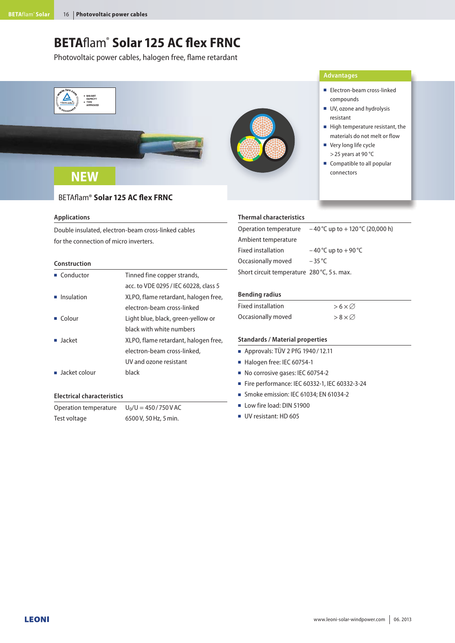# **BETA**flam®  **Solar 125 AC flex FRNC**

Photovoltaic power cables, halogen free, flame retardant



#### **Applications**

Double insulated, electron-beam cross-linked cables for the connection of micro inverters.

### **Construction**

| $\blacksquare$ Conductor     | Tinned fine copper strands,           |  |  |  |
|------------------------------|---------------------------------------|--|--|--|
|                              | acc. to VDE 0295 / IEC 60228, class 5 |  |  |  |
| $\blacksquare$ Insulation    | XLPO, flame retardant, halogen free,  |  |  |  |
|                              | electron-beam cross-linked            |  |  |  |
| $\blacksquare$ Colour        | Light blue, black, green-yellow or    |  |  |  |
|                              | black with white numbers              |  |  |  |
| $\blacksquare$ Jacket        | XLPO, flame retardant, halogen free,  |  |  |  |
|                              | electron-beam cross-linked,           |  |  |  |
|                              | UV and ozone resistant                |  |  |  |
| $\blacksquare$ Jacket colour | black                                 |  |  |  |

#### **Electrical characteristics**

Operation temperature Test voltage  $U_0/U = 450 / 750 V AC$ 6500 V, 50 Hz, 5 min.

#### **Thermal characteristics**

| Operation temperature                       | $-40^{\circ}$ C up to $+120^{\circ}$ C (20,000 h) |
|---------------------------------------------|---------------------------------------------------|
| Ambient temperature                         |                                                   |
| Fixed installation                          | $-40^{\circ}$ C up to $+90^{\circ}$ C             |
| Occasionally moved                          | $-35$ °C                                          |
| Short circuit temperature 280 °C, 5 s. max. |                                                   |

#### **Bending radius**

| <b>Fixed installation</b> | $>6\times\varnothing$  |
|---------------------------|------------------------|
| Occasionally moved        | $> 8 \times \emptyset$ |

#### **Standards / Material properties**

- $\blacksquare$  Approvals: TÜV 2 PfG 1940 / 12.11
- Halogen free: IEC 60754-1
- No corrosive gases: IEC 60754-2
- Fire performance: IEC 60332-1, IEC 60332-3-24
- Smoke emission: IEC 61034; EN 61034-2
- Low fire load: DIN 51900
- UV resistant: HD 605